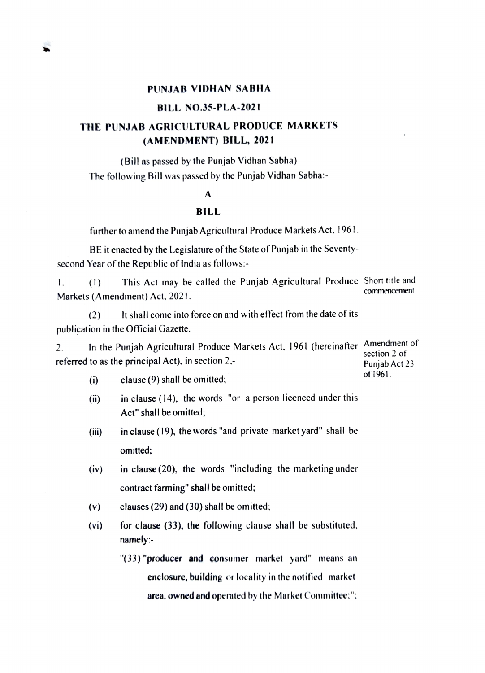## BILL NO.35-PLA-2021

## THE PUNJAB AGRICULTURAL PRODUCE MARKETs (AMENDMENT) BILL, 2021

(Bill as passed by the Punjab Vidhan Sabha) The following Bill was passcd by the Punjab Vidhan Sabha:

## A

## BILL

further to amend the Punjab Agricultural Produce Markets Act. 1961

BE it enacted by the Legislature of the State of Punjab in the Seventy-<br>second Year of the Republic of India as follows:-

This Act may be called the Punjab Agricultural Produce Short title and commencement. I. (1) Markets (Amendment) Act. 2021.

(2) It shall come into force on and with effect from the date of its publication in the Official Gazette.

In the Punjab Agricultural Produce Markets Act, 1961 (hereinafter Amendment of section 2 of 2. referred to as the principal Act), in section  $2$ . Punjab Act 23

- of 1961. clause (9) shall be omitted;  $(i)$
- $(ii)$  in clause (14), the words "or a person licenced under this Act" shall be omitted;
- (ii) in clause (19), the words "and private market yard" shall be omitted;
- (iv) in clause (20), the words "including the marketing under contract farming" shall be omitted;
- (v) clauses (29) and (30) shall be omitted;
- for clause (33), the following clause shall be substituted, namely: (vi)
	- "(33) "producer and consumer market yard" means an enclosure, building or locality in the notified market area. owned and operaled by the Market Committee:"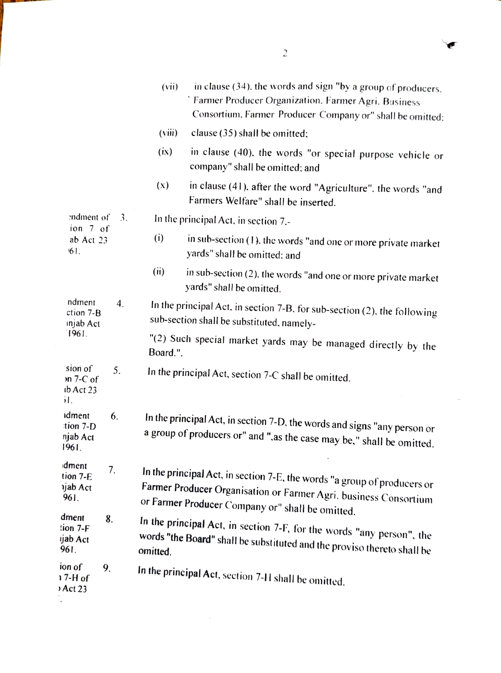|                                                     | in clause (34), the words and sign "by a group of producers,<br>(vii)<br>Farmer Producer Organization. Farmer Agri. Business<br>Consortium. Farmer Producer Company or" shall be omitted:        |
|-----------------------------------------------------|--------------------------------------------------------------------------------------------------------------------------------------------------------------------------------------------------|
|                                                     | (viii)<br>clause (35) shall be omitted;                                                                                                                                                          |
|                                                     | (ix)<br>in clause (40), the words "or special purpose vehicle or<br>company" shall be omitted; and                                                                                               |
|                                                     | (x)<br>in clause (41), after the word "Agriculture", the words "and<br>Farmers Welfare" shall be inserted.                                                                                       |
| endment of<br>3.<br>ion 7 of                        | In the principal Act, in section 7,-                                                                                                                                                             |
| ab Act 23<br>61.                                    | (i)<br>in sub-section (1), the words "and one or more private market<br>yards" shall be omitted: and                                                                                             |
|                                                     | (ii)<br>in sub-section (2), the words "and one or more private market<br>yards" shall be omitted.                                                                                                |
| ndment<br>4.<br>ction 7-B<br>injab Act<br>1961.     | In the principal Act, in section 7-B, for sub-section (2), the following<br>sub-section shall be substituted, namely-                                                                            |
|                                                     | "(2) Such special market yards may be managed directly by the<br>Board.".                                                                                                                        |
| sion of<br>5.<br>$2n$ 7-C of<br>$1b$ Act 23<br>1.5  | In the principal Act, section 7-C shall be omitted.                                                                                                                                              |
| idment<br>6.<br>$\pi$ tion 7-D<br>njab Act<br>1961. | In the principal Act, in section 7-D, the words and signs "any person or<br>a group of producers or" and ", as the case may be," shall be omitted.                                               |
| dment<br>7.<br>tion 7-E<br>njab Act<br>961.         | In the principal Act, in section 7-E, the words "a group of producers or<br>Farmer Producer Organisation or Farmer Agri. business Consortium<br>or Farmer Producer Company or" shall be omitted. |
| dment<br>8.<br>tion 7-F<br>ijab Act<br>961.         | In the principal Act, in section 7-F, for the words "any person", the<br>words "the Board" shall be substituted and the proviso thereto shall be                                                 |
| ion of<br>9.<br>17-H of<br>Act 23                   | In the principal Act, section 7-H shall be omitted.                                                                                                                                              |

 $\label{eq:2.1} \mathcal{L}(\mathcal{L}^{\text{max}}_{\text{max}}(\mathcal{L}^{\text{max}}_{\text{max}}))$